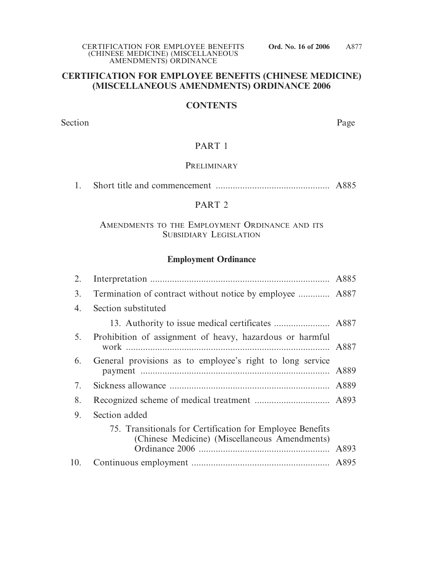## **CERTIFICATION FOR EMPLOYEE BENEFITS (CHINESE MEDICINE) (MISCELLANEOUS AMENDMENTS) ORDINANCE 2006**

#### **CONTENTS**

Section Page

#### PART 1

### PRELIMINARY

1. Short title and commencement ............................................... A885

# PART 2

### AMENDMENTS TO THE EMPLOYMENT ORDINANCE AND ITS SUBSIDIARY LEGISLATION

### **Employment Ordinance**

| 2.  |                                                                                                            |      |
|-----|------------------------------------------------------------------------------------------------------------|------|
| 3.  | Termination of contract without notice by employee  A887                                                   |      |
| 4.  | Section substituted                                                                                        |      |
|     |                                                                                                            |      |
| 5.  | Prohibition of assignment of heavy, hazardous or harmful                                                   | A887 |
| 6.  | General provisions as to employee's right to long service                                                  | A889 |
| 7.  |                                                                                                            |      |
| 8.  |                                                                                                            |      |
| 9.  | Section added                                                                                              |      |
|     | 75. Transitionals for Certification for Employee Benefits<br>(Chinese Medicine) (Miscellaneous Amendments) |      |
| 10. |                                                                                                            |      |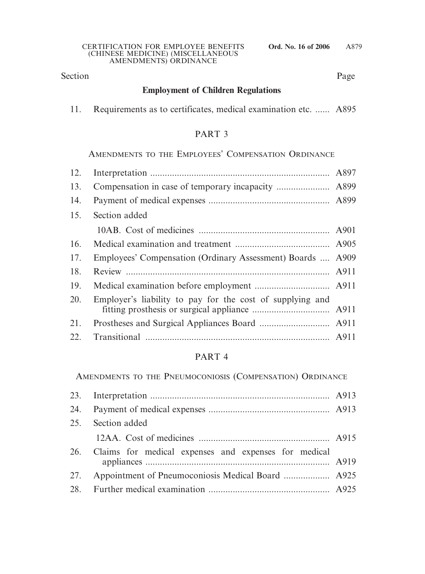# Section Page

# **Employment of Children Regulations**

11. Requirements as to certificates, medical examination etc. ...... A895

# PART 3

AMENDMENTS TO THE EMPLOYEES' COMPENSATION ORDINANCE

| 12. |                                                            |  |
|-----|------------------------------------------------------------|--|
| 13. |                                                            |  |
| 14. |                                                            |  |
| 15. | Section added                                              |  |
|     |                                                            |  |
| 16. |                                                            |  |
| 17. | Employees' Compensation (Ordinary Assessment) Boards  A909 |  |
| 18. |                                                            |  |
| 19. |                                                            |  |
| 20. | Employer's liability to pay for the cost of supplying and  |  |
| 21. |                                                            |  |
| 22. |                                                            |  |

# PART 4

AMENDMENTS TO THE PNEUMOCONIOSIS (COMPENSATION) ORDINANCE

| 25. Section added                                        |  |
|----------------------------------------------------------|--|
|                                                          |  |
| 26. Claims for medical expenses and expenses for medical |  |
|                                                          |  |
|                                                          |  |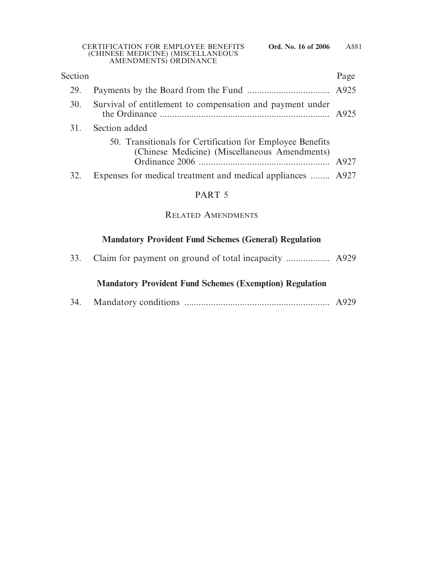| Section |                                                                                                            | Page |
|---------|------------------------------------------------------------------------------------------------------------|------|
| 29.     |                                                                                                            |      |
| 30.     | Survival of entitlement to compensation and payment under                                                  |      |
| 31.     | Section added                                                                                              |      |
|         | 50. Transitionals for Certification for Employee Benefits<br>(Chinese Medicine) (Miscellaneous Amendments) |      |
|         | Expenses for medical treatment and medical appliances  A927                                                |      |

# PART 5

# RELATED AMENDMENTS

# **Mandatory Provident Fund Schemes (General) Regulation**

|--|--|--|--|--|--|--|--|--|

# **Mandatory Provident Fund Schemes (Exemption) Regulation**

| 34. |  |  |  |
|-----|--|--|--|
|-----|--|--|--|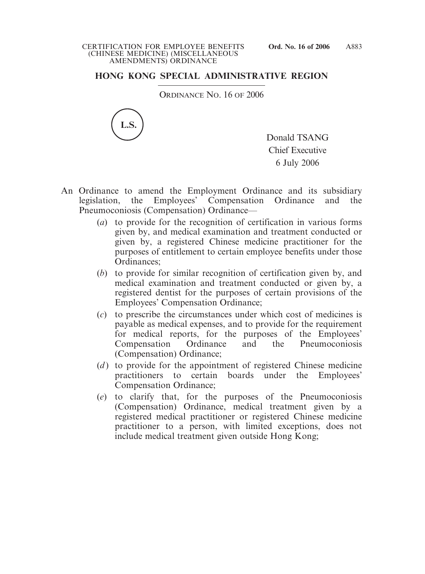# **HONG KONG SPECIAL ADMINISTRATIVE REGION**

ORDINANCE NO. 16 OF 2006



Donald TSANG Chief Executive 6 July 2006

- An Ordinance to amend the Employment Ordinance and its subsidiary legislation, the Employees' Compensation Ordinance and the Pneumoconiosis (Compensation) Ordinance—
	- (*a*) to provide for the recognition of certification in various forms given by, and medical examination and treatment conducted or given by, a registered Chinese medicine practitioner for the purposes of entitlement to certain employee benefits under those Ordinances;
	- (*b*) to provide for similar recognition of certification given by, and medical examination and treatment conducted or given by, a registered dentist for the purposes of certain provisions of the Employees' Compensation Ordinance;
	- (*c*) to prescribe the circumstances under which cost of medicines is payable as medical expenses, and to provide for the requirement for medical reports, for the purposes of the Employees' Compensation Ordinance and the Pneumoconiosis (Compensation) Ordinance;
	- (*d*) to provide for the appointment of registered Chinese medicine practitioners to certain boards under the Employees' Compensation Ordinance;
	- (*e*) to clarify that, for the purposes of the Pneumoconiosis (Compensation) Ordinance, medical treatment given by a registered medical practitioner or registered Chinese medicine practitioner to a person, with limited exceptions, does not include medical treatment given outside Hong Kong;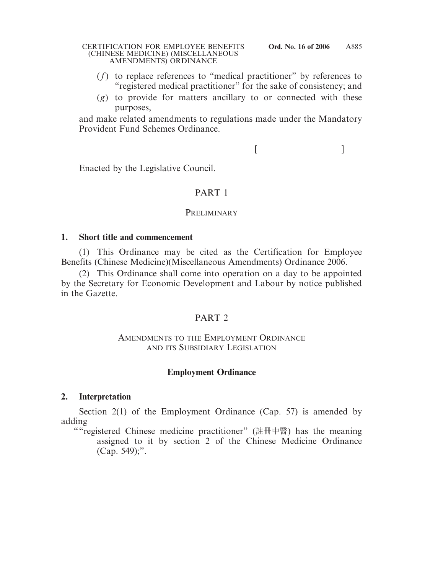- (*f*) to replace references to "medical practitioner" by references to "registered medical practitioner" for the sake of consistency; and
- (*g*) to provide for matters ancillary to or connected with these purposes,

and make related amendments to regulations made under the Mandatory Provident Fund Schemes Ordinance.

 $[$ 

Enacted by the Legislative Council.

# PART 1

## **PRELIMINARY**

# **1. Short title and commencement**

(1) This Ordinance may be cited as the Certification for Employee Benefits (Chinese Medicine)(Miscellaneous Amendments) Ordinance 2006.

(2) This Ordinance shall come into operation on a day to be appointed by the Secretary for Economic Development and Labour by notice published in the Gazette.

# PART 2

## AMENDMENTS TO THE EMPLOYMENT ORDINANCE AND ITS SUBSIDIARY LEGISLATION

# **Employment Ordinance**

# **2. Interpretation**

Section 2(1) of the Employment Ordinance (Cap. 57) is amended by adding—

""registered Chinese medicine practitioner" (註冊中醫) has the meaning assigned to it by section 2 of the Chinese Medicine Ordinance (Cap. 549);".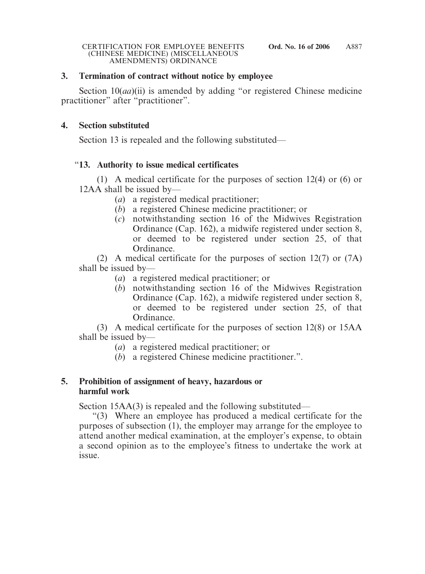## **3. Termination of contract without notice by employee**

Section 10(*aa*)(ii) is amended by adding "or registered Chinese medicine practitioner" after "practitioner".

## **4. Section substituted**

Section 13 is repealed and the following substituted—

# "**13. Authority to issue medical certificates**

(1) A medical certificate for the purposes of section 12(4) or (6) or 12AA shall be issued by—

- (*a*) a registered medical practitioner;
- (*b*) a registered Chinese medicine practitioner; or
- (*c*) notwithstanding section 16 of the Midwives Registration Ordinance (Cap. 162), a midwife registered under section 8, or deemed to be registered under section 25, of that Ordinance.

(2) A medical certificate for the purposes of section 12(7) or (7A) shall be issued by—

- (*a*) a registered medical practitioner; or
- (*b*) notwithstanding section 16 of the Midwives Registration Ordinance (Cap. 162), a midwife registered under section 8, or deemed to be registered under section 25, of that Ordinance.

(3) A medical certificate for the purposes of section 12(8) or 15AA shall be issued by—

- (*a*) a registered medical practitioner; or
- (*b*) a registered Chinese medicine practitioner.".

## **5. Prohibition of assignment of heavy, hazardous or harmful work**

Section 15AA(3) is repealed and the following substituted—

"(3) Where an employee has produced a medical certificate for the purposes of subsection (1), the employer may arrange for the employee to attend another medical examination, at the employer's expense, to obtain a second opinion as to the employee's fitness to undertake the work at issue.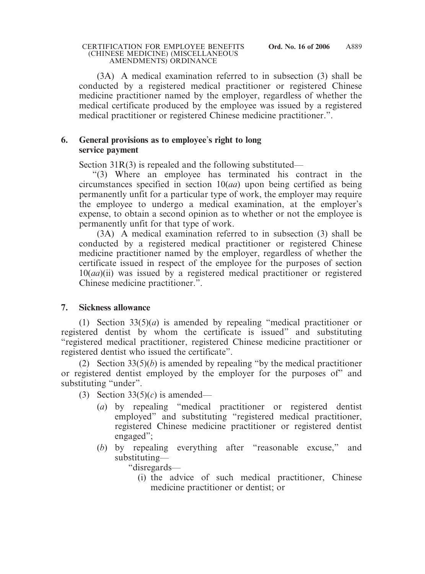(3A) A medical examination referred to in subsection (3) shall be conducted by a registered medical practitioner or registered Chinese medicine practitioner named by the employer, regardless of whether the medical certificate produced by the employee was issued by a registered medical practitioner or registered Chinese medicine practitioner.".

## **6. General provisions as to employee**'**s right to long service payment**

Section 31R(3) is repealed and the following substituted—

"(3) Where an employee has terminated his contract in the circumstances specified in section 10(*aa*) upon being certified as being permanently unfit for a particular type of work, the employer may require the employee to undergo a medical examination, at the employer's expense, to obtain a second opinion as to whether or not the employee is permanently unfit for that type of work.

(3A) A medical examination referred to in subsection (3) shall be conducted by a registered medical practitioner or registered Chinese medicine practitioner named by the employer, regardless of whether the certificate issued in respect of the employee for the purposes of section 10(*aa*)(ii) was issued by a registered medical practitioner or registered Chinese medicine practitioner.".

# **7. Sickness allowance**

(1) Section 33(5)(*a*) is amended by repealing "medical practitioner or registered dentist by whom the certificate is issued" and substituting "registered medical practitioner, registered Chinese medicine practitioner or registered dentist who issued the certificate".

(2) Section 33(5)(*b*) is amended by repealing "by the medical practitioner or registered dentist employed by the employer for the purposes of" and substituting "under".

- (3) Section  $33(5)(c)$  is amended—
	- (*a*) by repealing "medical practitioner or registered dentist employed" and substituting "registered medical practitioner, registered Chinese medicine practitioner or registered dentist engaged";
	- (*b*) by repealing everything after "reasonable excuse," and substituting—

"disregards—

(i) the advice of such medical practitioner, Chinese medicine practitioner or dentist; or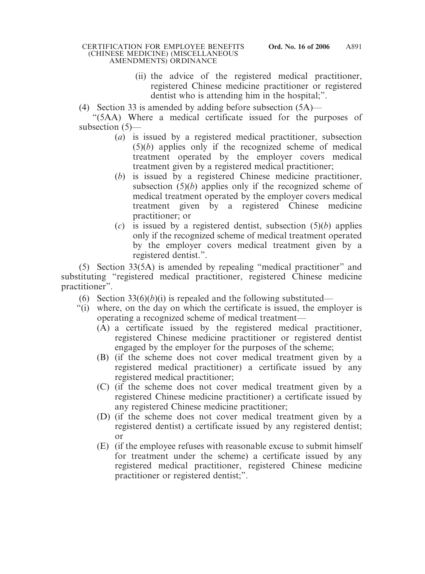- (ii) the advice of the registered medical practitioner, registered Chinese medicine practitioner or registered dentist who is attending him in the hospital;".
- (4) Section 33 is amended by adding before subsection (5A)—

"(5AA) Where a medical certificate issued for the purposes of subsection (5)—

- (*a*) is issued by a registered medical practitioner, subsection (5)(*b*) applies only if the recognized scheme of medical treatment operated by the employer covers medical treatment given by a registered medical practitioner;
- (*b*) is issued by a registered Chinese medicine practitioner, subsection (5)(*b*) applies only if the recognized scheme of medical treatment operated by the employer covers medical treatment given by a registered Chinese medicine practitioner; or
- (*c*) is issued by a registered dentist, subsection (5)(*b*) applies only if the recognized scheme of medical treatment operated by the employer covers medical treatment given by a registered dentist.".

(5) Section 33(5A) is amended by repealing "medical practitioner" and substituting "registered medical practitioner, registered Chinese medicine practitioner".

- (6) Section  $33(6)(b)(i)$  is repealed and the following substituted—
- "(i) where, on the day on which the certificate is issued, the employer is operating a recognized scheme of medical treatment—
	- (A) a certificate issued by the registered medical practitioner, registered Chinese medicine practitioner or registered dentist engaged by the employer for the purposes of the scheme;
	- (B) (if the scheme does not cover medical treatment given by a registered medical practitioner) a certificate issued by any registered medical practitioner;
	- (C) (if the scheme does not cover medical treatment given by a registered Chinese medicine practitioner) a certificate issued by any registered Chinese medicine practitioner;
	- (D) (if the scheme does not cover medical treatment given by a registered dentist) a certificate issued by any registered dentist; or
	- (E) (if the employee refuses with reasonable excuse to submit himself for treatment under the scheme) a certificate issued by any registered medical practitioner, registered Chinese medicine practitioner or registered dentist;".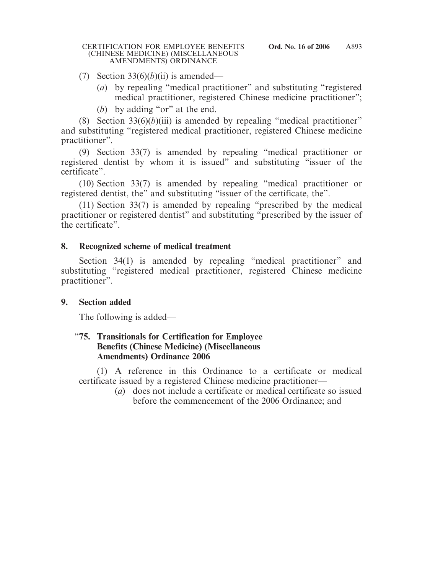### (7) Section  $33(6)(b)(ii)$  is amended—

- (*a*) by repealing "medical practitioner" and substituting "registered medical practitioner, registered Chinese medicine practitioner";
- (*b*) by adding "or" at the end.

(8) Section  $33(6)(b)(iii)$  is amended by repealing "medical practitioner" and substituting "registered medical practitioner, registered Chinese medicine practitioner".

(9) Section 33(7) is amended by repealing "medical practitioner or registered dentist by whom it is issued" and substituting "issuer of the certificate".

(10) Section 33(7) is amended by repealing "medical practitioner or registered dentist, the" and substituting "issuer of the certificate, the".

(11) Section 33(7) is amended by repealing "prescribed by the medical practitioner or registered dentist" and substituting "prescribed by the issuer of the certificate".

## **8. Recognized scheme of medical treatment**

Section 34(1) is amended by repealing "medical practitioner" and substituting "registered medical practitioner, registered Chinese medicine practitioner".

# **9. Section added**

The following is added—

### "**75. Transitionals for Certification for Employee Benefits (Chinese Medicine) (Miscellaneous Amendments) Ordinance 2006**

(1) A reference in this Ordinance to a certificate or medical certificate issued by a registered Chinese medicine practitioner—

(*a*) does not include a certificate or medical certificate so issued before the commencement of the 2006 Ordinance; and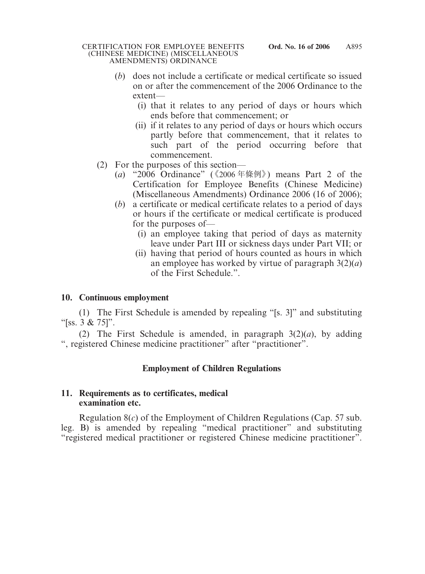- (*b*) does not include a certificate or medical certificate so issued on or after the commencement of the 2006 Ordinance to the extent—
	- (i) that it relates to any period of days or hours which ends before that commencement; or
	- (ii) if it relates to any period of days or hours which occurs partly before that commencement, that it relates to such part of the period occurring before that commencement.
- (2) For the purposes of this section—
	- (*a*) "2006 Ordinance" (《2006 年條例》) means Part 2 of the Certification for Employee Benefits (Chinese Medicine) (Miscellaneous Amendments) Ordinance 2006 (16 of 2006);
	- (*b*) a certificate or medical certificate relates to a period of days or hours if the certificate or medical certificate is produced for the purposes of—
		- (i) an employee taking that period of days as maternity leave under Part III or sickness days under Part VII; or
		- (ii) having that period of hours counted as hours in which an employee has worked by virtue of paragraph 3(2)(*a*) of the First Schedule.".

# **10. Continuous employment**

(1) The First Schedule is amended by repealing "[s. 3]" and substituting " $[ss. 3 & 75]$ ".

(2) The First Schedule is amended, in paragraph  $3(2)(a)$ , by adding ", registered Chinese medicine practitioner" after "practitioner".

# **Employment of Children Regulations**

## **11. Requirements as to certificates, medical examination etc.**

Regulation 8(*c*) of the Employment of Children Regulations (Cap. 57 sub. leg. B) is amended by repealing "medical practitioner" and substituting "registered medical practitioner or registered Chinese medicine practitioner".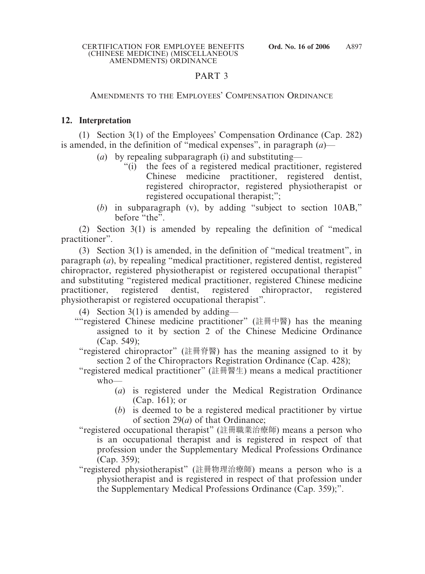# PART 3

# AMENDMENTS TO THE EMPLOYEES' COMPENSATION ORDINANCE

# **12. Interpretation**

(1) Section 3(1) of the Employees' Compensation Ordinance (Cap. 282) is amended, in the definition of "medical expenses", in paragraph (*a*)—

- (*a*) by repealing subparagraph (i) and substituting—
	- "(i) the fees of a registered medical practitioner, registered Chinese medicine practitioner, registered dentist, registered chiropractor, registered physiotherapist or registered occupational therapist;";
- (*b*) in subparagraph (v), by adding "subject to section 10AB," before "the".

(2) Section 3(1) is amended by repealing the definition of "medical practitioner".

(3) Section 3(1) is amended, in the definition of "medical treatment", in paragraph (*a*), by repealing "medical practitioner, registered dentist, registered chiropractor, registered physiotherapist or registered occupational therapist" and substituting "registered medical practitioner, registered Chinese medicine practitioner, registered dentist, registered chiropractor, registered physiotherapist or registered occupational therapist".

(4) Section 3(1) is amended by adding—

- ""registered Chinese medicine practitioner" (註冊中醫) has the meaning assigned to it by section 2 of the Chinese Medicine Ordinance (Cap. 549);
	- "registered chiropractor" (註冊脊醫) has the meaning assigned to it by section 2 of the Chiropractors Registration Ordinance (Cap. 428);
	- "registered medical practitioner" (註冊醫生) means a medical practitioner who—
		- (*a*) is registered under the Medical Registration Ordinance (Cap. 161); or
		- (*b*) is deemed to be a registered medical practitioner by virtue of section 29(*a*) of that Ordinance;
	- "registered occupational therapist" (註冊職業治療師) means a person who is an occupational therapist and is registered in respect of that profession under the Supplementary Medical Professions Ordinance (Cap. 359);
	- "registered physiotherapist" (註冊物理治療師) means a person who is a physiotherapist and is registered in respect of that profession under the Supplementary Medical Professions Ordinance (Cap. 359);".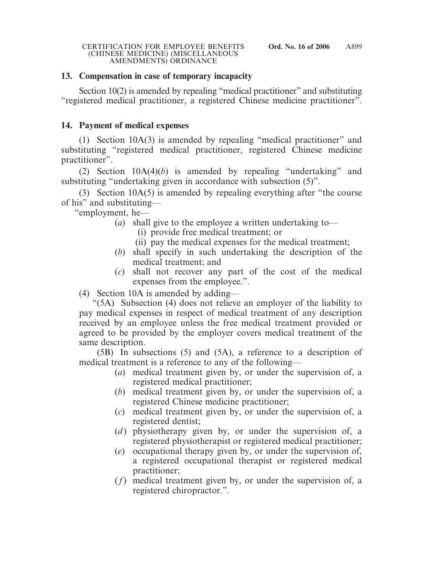### **13. Compensation in case of temporary incapacity**

Section 10(2) is amended by repealing "medical practitioner" and substituting "registered medical practitioner, a registered Chinese medicine practitioner".

### **14. Payment of medical expenses**

(1) Section 10A(3) is amended by repealing "medical practitioner" and substituting "registered medical practitioner, registered Chinese medicine practitioner".

(2) Section 10A(4)(*b*) is amended by repealing "undertaking" and substituting "undertaking given in accordance with subsection (5)".

(3) Section 10A(5) is amended by repealing everything after "the course of his" and substituting—

"employment, he—

- (*a*) shall give to the employee a written undertaking to—
	- (i) provide free medical treatment; or
	- (ii) pay the medical expenses for the medical treatment;
- (*b*) shall specify in such undertaking the description of the medical treatment; and
- (*c*) shall not recover any part of the cost of the medical expenses from the employee.".

(4) Section 10A is amended by adding—

"(5A) Subsection (4) does not relieve an employer of the liability to pay medical expenses in respect of medical treatment of any description received by an employee unless the free medical treatment provided or agreed to be provided by the employer covers medical treatment of the same description.

(5B) In subsections (5) and (5A), a reference to a description of medical treatment is a reference to any of the following—

- (*a*) medical treatment given by, or under the supervision of, a registered medical practitioner;
- (*b*) medical treatment given by, or under the supervision of, a registered Chinese medicine practitioner;
- (*c*) medical treatment given by, or under the supervision of, a registered dentist;
- (*d*) physiotherapy given by, or under the supervision of, a registered physiotherapist or registered medical practitioner;
- (*e*) occupational therapy given by, or under the supervision of, a registered occupational therapist or registered medical practitioner;
- (*f*) medical treatment given by, or under the supervision of, a registered chiropractor.".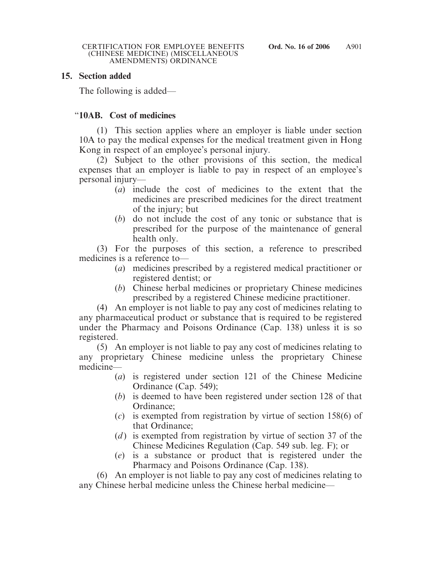### **15. Section added**

The following is added—

## "**10AB. Cost of medicines**

(1) This section applies where an employer is liable under section 10A to pay the medical expenses for the medical treatment given in Hong Kong in respect of an employee's personal injury.

(2) Subject to the other provisions of this section, the medical expenses that an employer is liable to pay in respect of an employee's personal injury—

- (*a*) include the cost of medicines to the extent that the medicines are prescribed medicines for the direct treatment of the injury; but
- (*b*) do not include the cost of any tonic or substance that is prescribed for the purpose of the maintenance of general health only.

(3) For the purposes of this section, a reference to prescribed medicines is a reference to—

- (*a*) medicines prescribed by a registered medical practitioner or registered dentist; or
- (*b*) Chinese herbal medicines or proprietary Chinese medicines prescribed by a registered Chinese medicine practitioner.

(4) An employer is not liable to pay any cost of medicines relating to any pharmaceutical product or substance that is required to be registered under the Pharmacy and Poisons Ordinance (Cap. 138) unless it is so registered.

(5) An employer is not liable to pay any cost of medicines relating to any proprietary Chinese medicine unless the proprietary Chinese medicine—

- (*a*) is registered under section 121 of the Chinese Medicine Ordinance (Cap. 549);
- (*b*) is deemed to have been registered under section 128 of that Ordinance;
- (*c*) is exempted from registration by virtue of section 158(6) of that Ordinance;
- (*d*) is exempted from registration by virtue of section 37 of the Chinese Medicines Regulation (Cap. 549 sub. leg. F); or
- (*e*) is a substance or product that is registered under the Pharmacy and Poisons Ordinance (Cap. 138).

(6) An employer is not liable to pay any cost of medicines relating to any Chinese herbal medicine unless the Chinese herbal medicine—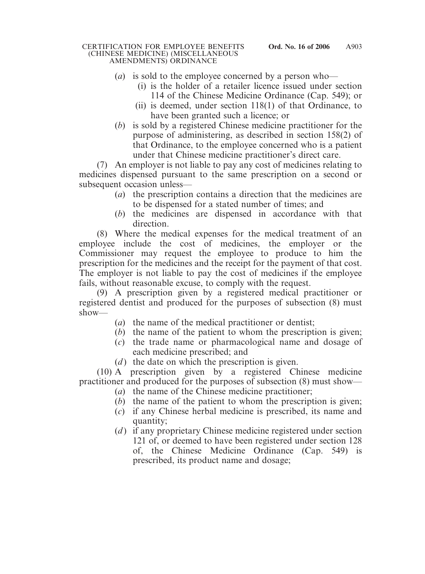- (*a*) is sold to the employee concerned by a person who—
	- (i) is the holder of a retailer licence issued under section 114 of the Chinese Medicine Ordinance (Cap. 549); or
	- (ii) is deemed, under section 118(1) of that Ordinance, to have been granted such a licence; or
- (*b*) is sold by a registered Chinese medicine practitioner for the purpose of administering, as described in section 158(2) of that Ordinance, to the employee concerned who is a patient under that Chinese medicine practitioner's direct care.

(7) An employer is not liable to pay any cost of medicines relating to medicines dispensed pursuant to the same prescription on a second or subsequent occasion unless—

- (*a*) the prescription contains a direction that the medicines are to be dispensed for a stated number of times; and
- (*b*) the medicines are dispensed in accordance with that direction.

(8) Where the medical expenses for the medical treatment of an employee include the cost of medicines, the employer or the Commissioner may request the employee to produce to him the prescription for the medicines and the receipt for the payment of that cost. The employer is not liable to pay the cost of medicines if the employee fails, without reasonable excuse, to comply with the request.

(9) A prescription given by a registered medical practitioner or registered dentist and produced for the purposes of subsection (8) must show—

- (*a*) the name of the medical practitioner or dentist;
- (*b*) the name of the patient to whom the prescription is given;
- (*c*) the trade name or pharmacological name and dosage of each medicine prescribed; and
- (*d*) the date on which the prescription is given.

(10) A prescription given by a registered Chinese medicine practitioner and produced for the purposes of subsection (8) must show—

- (*a*) the name of the Chinese medicine practitioner;
- (*b*) the name of the patient to whom the prescription is given;
- (*c*) if any Chinese herbal medicine is prescribed, its name and quantity;
- (*d*) if any proprietary Chinese medicine registered under section 121 of, or deemed to have been registered under section 128 of, the Chinese Medicine Ordinance (Cap. 549) is prescribed, its product name and dosage;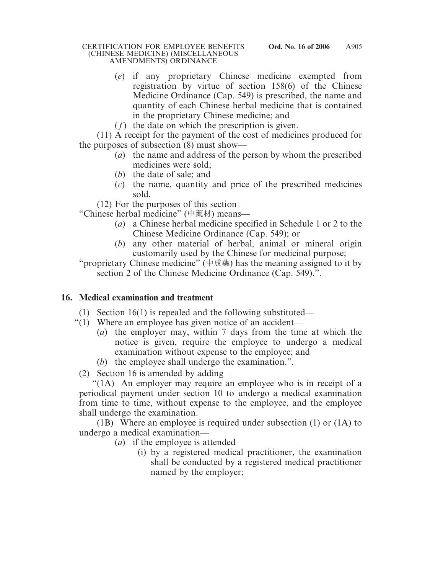- (*e*) if any proprietary Chinese medicine exempted from registration by virtue of section 158(6) of the Chinese Medicine Ordinance (Cap. 549) is prescribed, the name and quantity of each Chinese herbal medicine that is contained in the proprietary Chinese medicine; and
- (*f*) the date on which the prescription is given.

(11) A receipt for the payment of the cost of medicines produced for the purposes of subsection (8) must show—

- (*a*) the name and address of the person by whom the prescribed medicines were sold;
- (*b*) the date of sale; and
- (*c*) the name, quantity and price of the prescribed medicines sold.

(12) For the purposes of this section—

"Chinese herbal medicine" (中藥材) means—

- (*a*) a Chinese herbal medicine specified in Schedule 1 or 2 to the Chinese Medicine Ordinance (Cap. 549); or
- (*b*) any other material of herbal, animal or mineral origin customarily used by the Chinese for medicinal purpose;

"proprietary Chinese medicine" (中成藥) has the meaning assigned to it by section 2 of the Chinese Medicine Ordinance (Cap. 549).".

# **16. Medical examination and treatment**

- (1) Section 16(1) is repealed and the following substituted—
- "(1) Where an employee has given notice of an accident—
	- (*a*) the employer may, within 7 days from the time at which the notice is given, require the employee to undergo a medical examination without expense to the employee; and
	- (*b*) the employee shall undergo the examination.".

(2) Section 16 is amended by adding—

"(1A) An employer may require an employee who is in receipt of a periodical payment under section 10 to undergo a medical examination from time to time, without expense to the employee, and the employee shall undergo the examination.

(1B) Where an employee is required under subsection (1) or (1A) to undergo a medical examination—

- (*a*) if the employee is attended—
	- (i) by a registered medical practitioner, the examination shall be conducted by a registered medical practitioner named by the employer;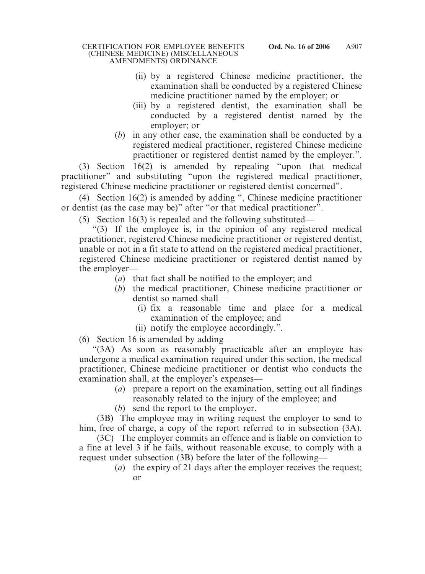- (ii) by a registered Chinese medicine practitioner, the examination shall be conducted by a registered Chinese medicine practitioner named by the employer; or
- (iii) by a registered dentist, the examination shall be conducted by a registered dentist named by the employer; or
- (*b*) in any other case, the examination shall be conducted by a registered medical practitioner, registered Chinese medicine practitioner or registered dentist named by the employer.".

(3) Section 16(2) is amended by repealing "upon that medical practitioner" and substituting "upon the registered medical practitioner, registered Chinese medicine practitioner or registered dentist concerned".

(4) Section 16(2) is amended by adding ", Chinese medicine practitioner or dentist (as the case may be)" after "or that medical practitioner".

(5) Section 16(3) is repealed and the following substituted—

"(3) If the employee is, in the opinion of any registered medical practitioner, registered Chinese medicine practitioner or registered dentist, unable or not in a fit state to attend on the registered medical practitioner, registered Chinese medicine practitioner or registered dentist named by the employer—

- (*a*) that fact shall be notified to the employer; and
- (*b*) the medical practitioner, Chinese medicine practitioner or dentist so named shall—
	- (i) fix a reasonable time and place for a medical examination of the employee; and
	- (ii) notify the employee accordingly.".
- (6) Section 16 is amended by adding—

"(3A) As soon as reasonably practicable after an employee has undergone a medical examination required under this section, the medical practitioner, Chinese medicine practitioner or dentist who conducts the examination shall, at the employer's expenses—

- (*a*) prepare a report on the examination, setting out all findings reasonably related to the injury of the employee; and
- (*b*) send the report to the employer.

(3B) The employee may in writing request the employer to send to him, free of charge, a copy of the report referred to in subsection (3A).

(3C) The employer commits an offence and is liable on conviction to a fine at level 3 if he fails, without reasonable excuse, to comply with a request under subsection (3B) before the later of the following—

(*a*) the expiry of 21 days after the employer receives the request; or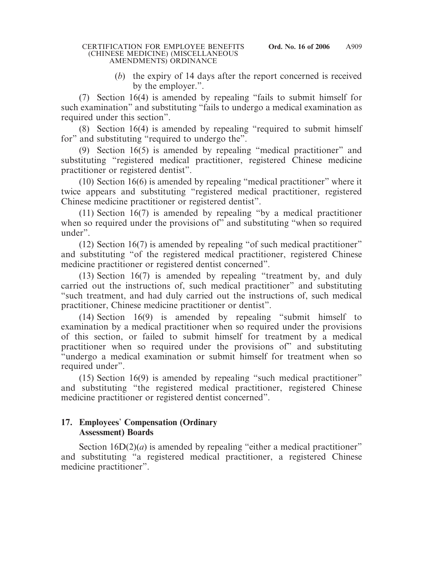(*b*) the expiry of 14 days after the report concerned is received by the employer.".

(7) Section 16(4) is amended by repealing "fails to submit himself for such examination" and substituting "fails to undergo a medical examination as required under this section".

(8) Section 16(4) is amended by repealing "required to submit himself for" and substituting "required to undergo the".

(9) Section 16(5) is amended by repealing "medical practitioner" and substituting "registered medical practitioner, registered Chinese medicine practitioner or registered dentist".

(10) Section 16(6) is amended by repealing "medical practitioner" where it twice appears and substituting "registered medical practitioner, registered Chinese medicine practitioner or registered dentist".

(11) Section 16(7) is amended by repealing "by a medical practitioner when so required under the provisions of" and substituting "when so required under".

(12) Section 16(7) is amended by repealing "of such medical practitioner" and substituting "of the registered medical practitioner, registered Chinese medicine practitioner or registered dentist concerned".

(13) Section 16(7) is amended by repealing "treatment by, and duly carried out the instructions of, such medical practitioner" and substituting "such treatment, and had duly carried out the instructions of, such medical practitioner, Chinese medicine practitioner or dentist".

(14) Section 16(9) is amended by repealing "submit himself to examination by a medical practitioner when so required under the provisions of this section, or failed to submit himself for treatment by a medical practitioner when so required under the provisions of" and substituting "undergo a medical examination or submit himself for treatment when so required under".

(15) Section 16(9) is amended by repealing "such medical practitioner" and substituting "the registered medical practitioner, registered Chinese medicine practitioner or registered dentist concerned".

## **17. Employees**' **Compensation (Ordinary Assessment) Boards**

Section  $16D(2)(a)$  is amended by repealing "either a medical practitioner" and substituting "a registered medical practitioner, a registered Chinese medicine practitioner".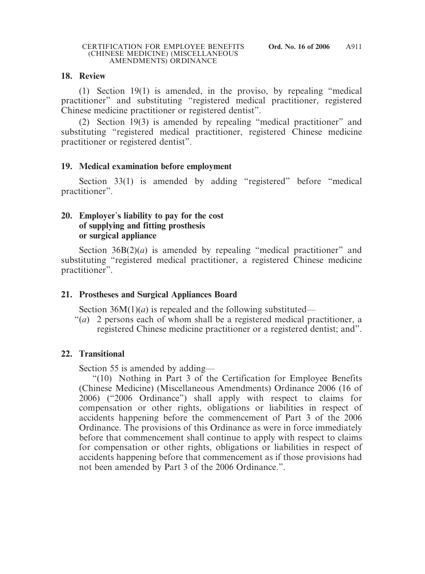#### **18. Review**

(1) Section 19(1) is amended, in the proviso, by repealing "medical practitioner" and substituting "registered medical practitioner, registered Chinese medicine practitioner or registered dentist".

(2) Section 19(3) is amended by repealing "medical practitioner" and substituting "registered medical practitioner, registered Chinese medicine practitioner or registered dentist".

### **19. Medical examination before employment**

Section 33(1) is amended by adding "registered" before "medical practitioner".

### **20. Employer**'**s liability to pay for the cost of supplying and fitting prosthesis or surgical appliance**

Section 36B(2)(*a*) is amended by repealing "medical practitioner" and substituting "registered medical practitioner, a registered Chinese medicine practitioner".

### **21. Prostheses and Surgical Appliances Board**

Section  $36M(1)(a)$  is repealed and the following substituted—

"(*a*) 2 persons each of whom shall be a registered medical practitioner, a registered Chinese medicine practitioner or a registered dentist; and".

### **22. Transitional**

Section 55 is amended by adding—

"(10) Nothing in Part 3 of the Certification for Employee Benefits (Chinese Medicine) (Miscellaneous Amendments) Ordinance 2006 (16 of 2006) ("2006 Ordinance") shall apply with respect to claims for compensation or other rights, obligations or liabilities in respect of accidents happening before the commencement of Part 3 of the 2006 Ordinance. The provisions of this Ordinance as were in force immediately before that commencement shall continue to apply with respect to claims for compensation or other rights, obligations or liabilities in respect of accidents happening before that commencement as if those provisions had not been amended by Part 3 of the 2006 Ordinance.".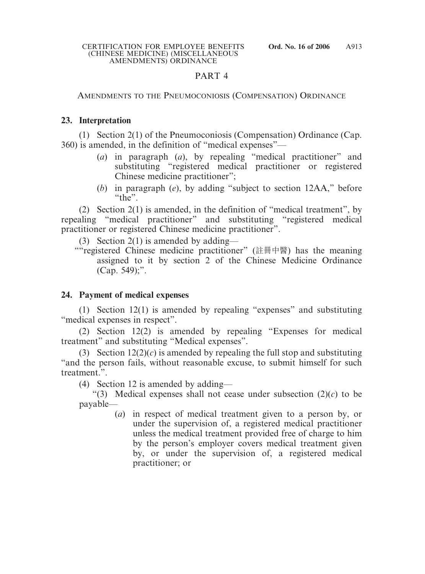# PART 4

### AMENDMENTS TO THE PNEUMOCONIOSIS (COMPENSATION) ORDINANCE

# **23. Interpretation**

(1) Section 2(1) of the Pneumoconiosis (Compensation) Ordinance (Cap. 360) is amended, in the definition of "medical expenses"—

- (*a*) in paragraph (*a*), by repealing "medical practitioner" and substituting "registered medical practitioner or registered Chinese medicine practitioner";
- (*b*) in paragraph (*e*), by adding "subject to section 12AA," before  $``the"$

(2) Section 2(1) is amended, in the definition of "medical treatment", by repealing "medical practitioner" and substituting "registered medical practitioner or registered Chinese medicine practitioner".

(3) Section 2(1) is amended by adding—

""registered Chinese medicine practitioner" (註冊中醫) has the meaning assigned to it by section 2 of the Chinese Medicine Ordinance (Cap. 549);".

# **24. Payment of medical expenses**

(1) Section 12(1) is amended by repealing "expenses" and substituting "medical expenses in respect".

(2) Section 12(2) is amended by repealing "Expenses for medical treatment" and substituting "Medical expenses".

(3) Section  $12(2)(c)$  is amended by repealing the full stop and substituting "and the person fails, without reasonable excuse, to submit himself for such treatment.".

(4) Section 12 is amended by adding—

"(3) Medical expenses shall not cease under subsection  $(2)(c)$  to be payable—

(*a*) in respect of medical treatment given to a person by, or under the supervision of, a registered medical practitioner unless the medical treatment provided free of charge to him by the person's employer covers medical treatment given by, or under the supervision of, a registered medical practitioner; or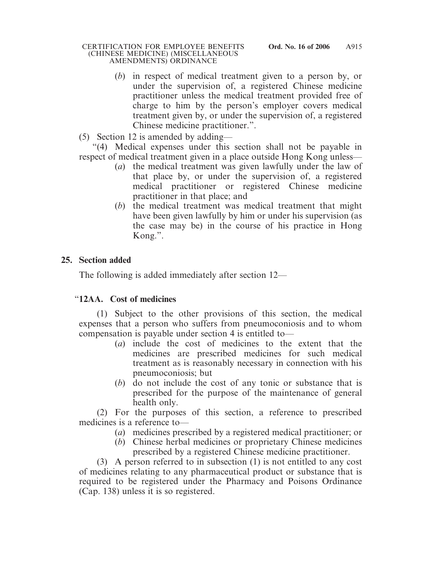- (*b*) in respect of medical treatment given to a person by, or under the supervision of, a registered Chinese medicine practitioner unless the medical treatment provided free of charge to him by the person's employer covers medical treatment given by, or under the supervision of, a registered Chinese medicine practitioner.".
- (5) Section 12 is amended by adding—

"(4) Medical expenses under this section shall not be payable in respect of medical treatment given in a place outside Hong Kong unless—

- (*a*) the medical treatment was given lawfully under the law of that place by, or under the supervision of, a registered medical practitioner or registered Chinese medicine practitioner in that place; and
- (*b*) the medical treatment was medical treatment that might have been given lawfully by him or under his supervision (as the case may be) in the course of his practice in Hong Kong.".

# **25. Section added**

The following is added immediately after section 12—

# "**12AA. Cost of medicines**

(1) Subject to the other provisions of this section, the medical expenses that a person who suffers from pneumoconiosis and to whom compensation is payable under section 4 is entitled to—

- (*a*) include the cost of medicines to the extent that the medicines are prescribed medicines for such medical treatment as is reasonably necessary in connection with his pneumoconiosis; but
- (*b*) do not include the cost of any tonic or substance that is prescribed for the purpose of the maintenance of general health only.

(2) For the purposes of this section, a reference to prescribed medicines is a reference to—

- (*a*) medicines prescribed by a registered medical practitioner; or
- (*b*) Chinese herbal medicines or proprietary Chinese medicines prescribed by a registered Chinese medicine practitioner.

(3) A person referred to in subsection (1) is not entitled to any cost of medicines relating to any pharmaceutical product or substance that is required to be registered under the Pharmacy and Poisons Ordinance (Cap. 138) unless it is so registered.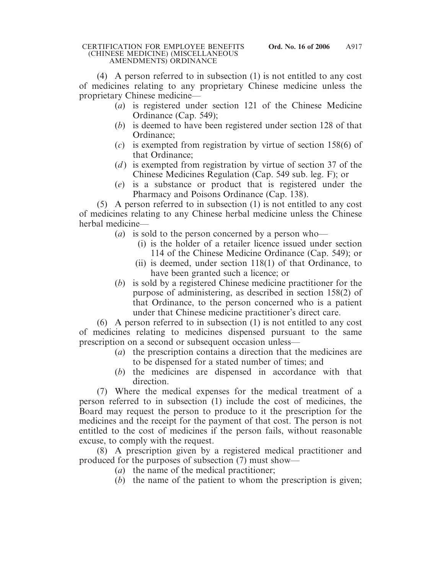(4) A person referred to in subsection (1) is not entitled to any cost of medicines relating to any proprietary Chinese medicine unless the proprietary Chinese medicine—

- (*a*) is registered under section 121 of the Chinese Medicine Ordinance (Cap. 549);
- (*b*) is deemed to have been registered under section 128 of that Ordinance;
- (*c*) is exempted from registration by virtue of section 158(6) of that Ordinance;
- (*d*) is exempted from registration by virtue of section 37 of the Chinese Medicines Regulation (Cap. 549 sub. leg. F); or
- (*e*) is a substance or product that is registered under the Pharmacy and Poisons Ordinance (Cap. 138).

(5) A person referred to in subsection (1) is not entitled to any cost of medicines relating to any Chinese herbal medicine unless the Chinese herbal medicine—

- (*a*) is sold to the person concerned by a person who—
	- (i) is the holder of a retailer licence issued under section 114 of the Chinese Medicine Ordinance (Cap. 549); or
	- (ii) is deemed, under section 118(1) of that Ordinance, to have been granted such a licence; or
- (*b*) is sold by a registered Chinese medicine practitioner for the purpose of administering, as described in section 158(2) of that Ordinance, to the person concerned who is a patient under that Chinese medicine practitioner's direct care.

(6) A person referred to in subsection (1) is not entitled to any cost of medicines relating to medicines dispensed pursuant to the same prescription on a second or subsequent occasion unless—

- (*a*) the prescription contains a direction that the medicines are to be dispensed for a stated number of times; and
- (*b*) the medicines are dispensed in accordance with that direction.

(7) Where the medical expenses for the medical treatment of a person referred to in subsection (1) include the cost of medicines, the Board may request the person to produce to it the prescription for the medicines and the receipt for the payment of that cost. The person is not entitled to the cost of medicines if the person fails, without reasonable excuse, to comply with the request.

(8) A prescription given by a registered medical practitioner and produced for the purposes of subsection (7) must show—

- (*a*) the name of the medical practitioner;
- (*b*) the name of the patient to whom the prescription is given;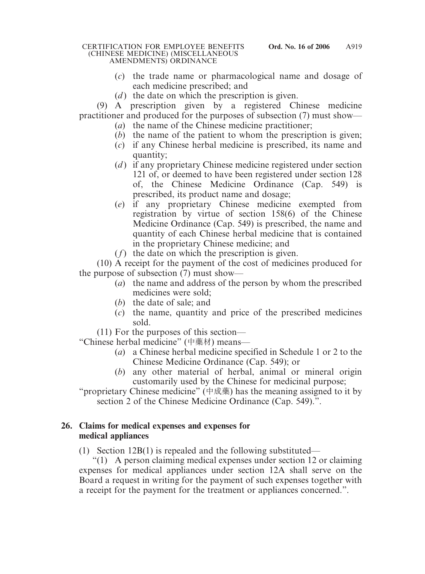- (*c*) the trade name or pharmacological name and dosage of each medicine prescribed; and
- (*d*) the date on which the prescription is given.

(9) A prescription given by a registered Chinese medicine practitioner and produced for the purposes of subsection (7) must show—

- (*a*) the name of the Chinese medicine practitioner;
- (*b*) the name of the patient to whom the prescription is given;
- (*c*) if any Chinese herbal medicine is prescribed, its name and quantity;
- (*d*) if any proprietary Chinese medicine registered under section 121 of, or deemed to have been registered under section 128 of, the Chinese Medicine Ordinance (Cap. 549) is prescribed, its product name and dosage;
- (*e*) if any proprietary Chinese medicine exempted from registration by virtue of section 158(6) of the Chinese Medicine Ordinance (Cap. 549) is prescribed, the name and quantity of each Chinese herbal medicine that is contained in the proprietary Chinese medicine; and
- (*f*) the date on which the prescription is given.

(10) A receipt for the payment of the cost of medicines produced for the purpose of subsection (7) must show—

- (*a*) the name and address of the person by whom the prescribed medicines were sold;
- (*b*) the date of sale; and
- (*c*) the name, quantity and price of the prescribed medicines sold.

(11) For the purposes of this section—

"Chinese herbal medicine" (中藥材) means—

- (*a*) a Chinese herbal medicine specified in Schedule 1 or 2 to the Chinese Medicine Ordinance (Cap. 549); or
- (*b*) any other material of herbal, animal or mineral origin customarily used by the Chinese for medicinal purpose;

"proprietary Chinese medicine" (中成藥) has the meaning assigned to it by section 2 of the Chinese Medicine Ordinance (Cap. 549).".

### **26. Claims for medical expenses and expenses for medical appliances**

(1) Section 12B(1) is repealed and the following substituted—

"(1) A person claiming medical expenses under section 12 or claiming expenses for medical appliances under section 12A shall serve on the Board a request in writing for the payment of such expenses together with a receipt for the payment for the treatment or appliances concerned.".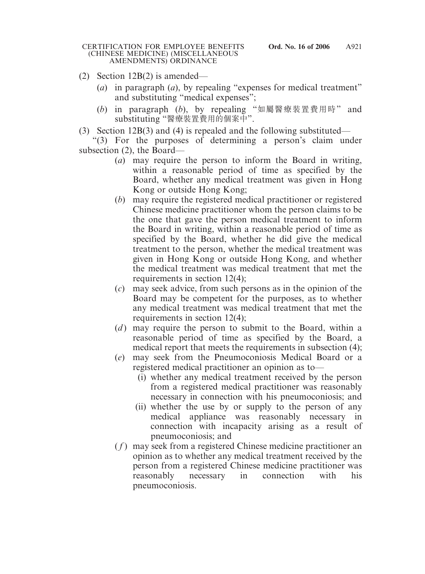- (2) Section 12B(2) is amended—
	- (*a*) in paragraph (*a*), by repealing "expenses for medical treatment" and substituting "medical expenses";
	- (*b*) in paragraph (*b*), by repealing "如屬醫療裝置費用時" and substituting "醫療裝置費用的個案中".
- (3) Section 12B(3) and (4) is repealed and the following substituted—

"(3) For the purposes of determining a person's claim under subsection (2), the Board—

- (*a*) may require the person to inform the Board in writing, within a reasonable period of time as specified by the Board, whether any medical treatment was given in Hong Kong or outside Hong Kong;
- (*b*) may require the registered medical practitioner or registered Chinese medicine practitioner whom the person claims to be the one that gave the person medical treatment to inform the Board in writing, within a reasonable period of time as specified by the Board, whether he did give the medical treatment to the person, whether the medical treatment was given in Hong Kong or outside Hong Kong, and whether the medical treatment was medical treatment that met the requirements in section 12(4);
- (*c*) may seek advice, from such persons as in the opinion of the Board may be competent for the purposes, as to whether any medical treatment was medical treatment that met the requirements in section 12(4);
- (*d*) may require the person to submit to the Board, within a reasonable period of time as specified by the Board, a medical report that meets the requirements in subsection (4);
- (*e*) may seek from the Pneumoconiosis Medical Board or a registered medical practitioner an opinion as to—
	- (i) whether any medical treatment received by the person from a registered medical practitioner was reasonably necessary in connection with his pneumoconiosis; and
	- (ii) whether the use by or supply to the person of any medical appliance was reasonably necessary in connection with incapacity arising as a result of pneumoconiosis; and
- ( *f* ) may seek from a registered Chinese medicine practitioner an opinion as to whether any medical treatment received by the person from a registered Chinese medicine practitioner was reasonably necessary in connection with his pneumoconiosis.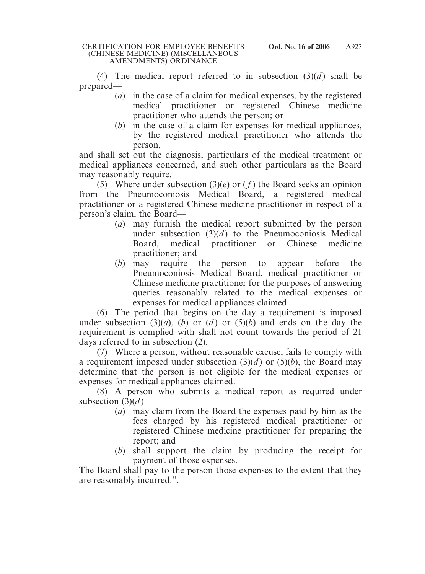(4) The medical report referred to in subsection  $(3)(d)$  shall be prepared—

- (*a*) in the case of a claim for medical expenses, by the registered medical practitioner or registered Chinese medicine practitioner who attends the person; or
- (*b*) in the case of a claim for expenses for medical appliances, by the registered medical practitioner who attends the person,

and shall set out the diagnosis, particulars of the medical treatment or medical appliances concerned, and such other particulars as the Board may reasonably require.

(5) Where under subsection  $(3)(e)$  or  $(f)$  the Board seeks an opinion from the Pneumoconiosis Medical Board, a registered medical practitioner or a registered Chinese medicine practitioner in respect of a person's claim, the Board—

- (*a*) may furnish the medical report submitted by the person under subsection  $(3)(d)$  to the Pneumoconiosis Medical Board, medical practitioner or Chinese medicine practitioner; and
- (*b*) may require the person to appear before the Pneumoconiosis Medical Board, medical practitioner or Chinese medicine practitioner for the purposes of answering queries reasonably related to the medical expenses or expenses for medical appliances claimed.

(6) The period that begins on the day a requirement is imposed under subsection (3)(*a*), (*b*) or (*d*) or (5)(*b*) and ends on the day the requirement is complied with shall not count towards the period of 21 days referred to in subsection (2).

(7) Where a person, without reasonable excuse, fails to comply with a requirement imposed under subsection  $(3)(d)$  or  $(5)(b)$ , the Board may determine that the person is not eligible for the medical expenses or expenses for medical appliances claimed.

(8) A person who submits a medical report as required under subsection  $(3)(d)$ —

- (*a*) may claim from the Board the expenses paid by him as the fees charged by his registered medical practitioner or registered Chinese medicine practitioner for preparing the report; and
- (*b*) shall support the claim by producing the receipt for payment of those expenses.

The Board shall pay to the person those expenses to the extent that they are reasonably incurred.".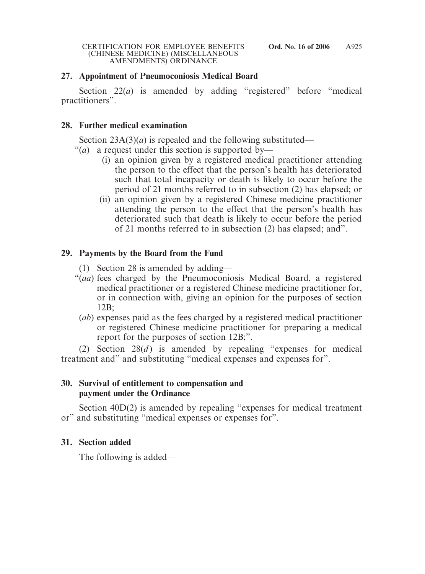# **27. Appointment of Pneumoconiosis Medical Board**

Section 22(*a*) is amended by adding "registered" before "medical practitioners".

## **28. Further medical examination**

Section 23A(3)(*a*) is repealed and the following substituted—

- "(*a*) a request under this section is supported by-
	- (i) an opinion given by a registered medical practitioner attending the person to the effect that the person's health has deteriorated such that total incapacity or death is likely to occur before the period of 21 months referred to in subsection (2) has elapsed; or
	- (ii) an opinion given by a registered Chinese medicine practitioner attending the person to the effect that the person's health has deteriorated such that death is likely to occur before the period of 21 months referred to in subsection (2) has elapsed; and".

# **29. Payments by the Board from the Fund**

- (1) Section 28 is amended by adding—
- "(*aa*) fees charged by the Pneumoconiosis Medical Board, a registered medical practitioner or a registered Chinese medicine practitioner for, or in connection with, giving an opinion for the purposes of section 12B;
	- (*ab*) expenses paid as the fees charged by a registered medical practitioner or registered Chinese medicine practitioner for preparing a medical report for the purposes of section 12B;".

(2) Section  $28(d)$  is amended by repealing "expenses for medical treatment and" and substituting "medical expenses and expenses for".

## **30. Survival of entitlement to compensation and payment under the Ordinance**

Section 40D(2) is amended by repealing "expenses for medical treatment or" and substituting "medical expenses or expenses for".

# **31. Section added**

The following is added—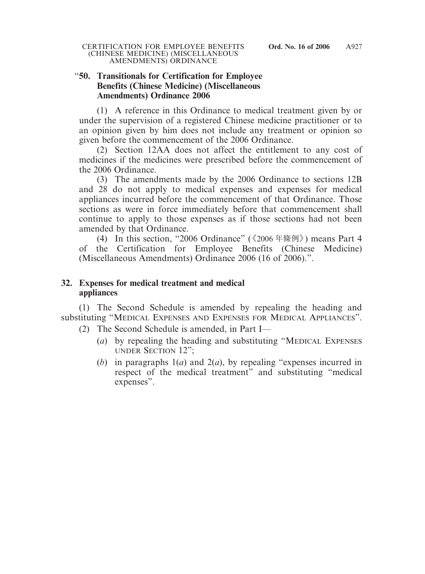#### "**50. Transitionals for Certification for Employee Benefits (Chinese Medicine) (Miscellaneous Amendments) Ordinance 2006**

(1) A reference in this Ordinance to medical treatment given by or under the supervision of a registered Chinese medicine practitioner or to an opinion given by him does not include any treatment or opinion so given before the commencement of the 2006 Ordinance.

(2) Section 12AA does not affect the entitlement to any cost of medicines if the medicines were prescribed before the commencement of the 2006 Ordinance.

(3) The amendments made by the 2006 Ordinance to sections 12B and 28 do not apply to medical expenses and expenses for medical appliances incurred before the commencement of that Ordinance. Those sections as were in force immediately before that commencement shall continue to apply to those expenses as if those sections had not been amended by that Ordinance.

(4) In this section, "2006 Ordinance" (《2006 年條例》) means Part 4 of the Certification for Employee Benefits (Chinese Medicine) (Miscellaneous Amendments) Ordinance 2006 (16 of 2006).".

## **32. Expenses for medical treatment and medical appliances**

(1) The Second Schedule is amended by repealing the heading and substituting "MEDICAL EXPENSES AND EXPENSES FOR MEDICAL APPLIANCES".

- (2) The Second Schedule is amended, in Part I—
	- (*a*) by repealing the heading and substituting "MEDICAL EXPENSES UNDER SECTION 12";
	- (*b*) in paragraphs 1(*a*) and 2(*a*), by repealing "expenses incurred in respect of the medical treatment" and substituting "medical expenses".